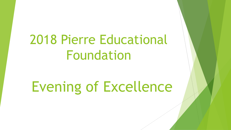# 2018 Pierre Educational Foundation

# Evening of Excellence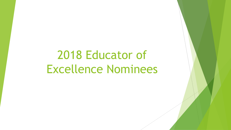# 2018 Educator of Excellence Nominees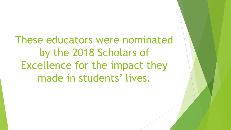These educators were nominated by the 2018 Scholars of Excellence for the impact they made in students' lives.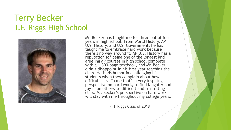#### Terry Becker T.F. Riggs High School



Mr. Becker has taught me for three out of four years in high school. From World History, AP U.S. History, and U.S. Government, he has taught me to embrace hard work because there's no way around it. AP U.S. History has a reputation for being one of the longest and grueling AP courses in high school complete with a 1,300-page textbook, and Mr. Becker didn't disappoint in his first year teaching the class. He finds humor in challenging his students when they complain about how difficult it is. To me that's a very inspiring perspective on hard work, to find laughter and joy in an otherwise difficult and frustrating class. Mr. Becker's perspective on hard work will stay with me throughout my college years.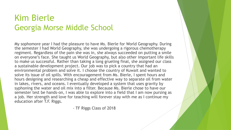# Kim Bierle Georgia Morse Middle School

My sophomore year I had the pleasure to have Ms. Bierle for World Geography. During the semester I had World Geography, she was undergoing a rigorous chemotherapy regiment. Regardless of the pain she was in, she always succeeded on putting a smile on everyone's face. She taught us World Geography, but also other important life skills to make us successful. Rather than taking a long grueling final, she assigned our class a sustainable development project. Our job was to pick a country that had an environmental problem and solve it. I choose the country of Kuwait and wanted to solve its issue of oil spills. With encouragement from Ms. Bierle, I spent hours and hours designing and researching a cheap and effective way to separate oil from water in lakes, rivers, and oceans. I eventually developed a system that uses gravity by syphoning the water and oil mix into a filter. Because Ms. Bierle chose to have our semester test be hands-on, I was able to explore into a field that I am now pursing as a job. Her strength and love for teaching will forever stay with me as I continue my education after T.F. Riggs.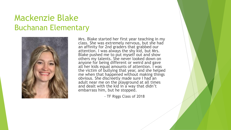#### Mackenzie Blake Buchanan Elementary



Mrs. Blake started her first year teaching in my class. She was extremely nervous, but she had an affinity for 2nd graders that grabbed our attention. I was always the shy kid, but Mrs. Blake pushed me to put myself out and show others my talents. She never looked down on anyone for being different or weird and gave all her kids equal amounts of attention. I was the victim of bullying that year, and she helped me when that happened without making things obvious. She discreetly made sure I had an adult near me on the playground at all times and dealt with the kid in a way that didn't embarrass him, but he stopped.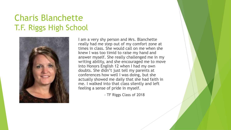# Charis Blanchette T.F. Riggs High School



I am a very shy person and Mrs. Blanchette really had me step out of my comfort zone at times in class. She would call on me when she knew I was too timid to raise my hand and answer myself. She really challenged me in my writing ability, and she encouraged me to move into Honors English 12 when I had my own doubts. She didn't just tell my parents at conferences how well I was doing, but she actually showed me daily that she had faith in me. I walked into that class silently and left feeling a sense of pride in myself.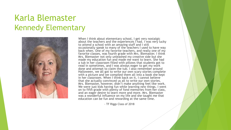#### Karla Blemaster Kennedy Elementary



When I think about elementary school, I get very nostalgic about the teachers and the experiences I had. I was very lucky to attend a school with an amazing staff and I still occasionally speak to many of the teachers I used to have way back when. One of my favorite teachers, and really one of my favorite classes, was fourth grade with Mrs. Blemaster. I think Mrs. Blemaster not only unleashed my creative side but she made my education fun and made me want to learn. She had a tub in her classroom filled with pillows that students got to read in sometimes, and I was always eager to get my work done and attempt to claim the tub. I also remember around Halloween, we all got to write our own scary stories complete with a picture and we compiled them all into a book she kept in her classroom. When I think back on it, I cannot believe that she actually convinced us all to write our own stories. Mrs. Blemaster, however, didn't make anything feel like work. We were just kids having fun while learning new things. I went on to fifth grade with plenty of fond memories from her class, and an eager desire to learn more and more. Mrs. Blemaster was a wonderful influence on my life and she taught me that education can be fun and rewarding at the same time.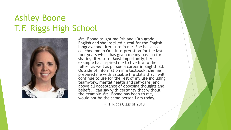# Ashley Boone T.F. Riggs High School



Mrs. Boone taught me 9th and 10th grade English and she instilled a zeal for the English language and literature in me. She has also coached me in Oral Interpretation for the last four years which has given me my passion for sharing literature. Most importantly, her example has inspired me to live life to the fullest as well as pursue a career in English Ed. Outside of information in a textbook, she has prepared me with valuable life skills that I will continue to use for the rest of my life including teamwork, mental health and self-care, and above all acceptance of opposing thoughts and beliefs. I can say with certainty that without the example Mrs. Boone has been to me, I would not be the same person I am today.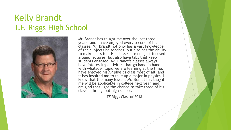# Kelly Brandt T.F. Riggs High School



Mr. Brandt has taught me over the last three years, and I have enjoyed every second of his classes. Mr. Brandt not only has a vast knowledge of the subjects he teaches, but also has the ability to make class fun. His classes are not just focused around lectures, but also have labs that keep students engaged. Mr. Brandt's classes always have interesting activities that go hand in hand with whatever topic we are learning at the time. I have enjoyed his AP physics class most of all, and it has inspired me to take up a major in physics. I know that the many lessons Mr. Brandt has taught me will be applicable in college next year, and I am glad that I got the chance to take three of his classes throughout high school.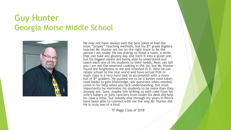# Guy Hunter Georgia Morse Middle School



He may not have always said the best jokes or had the most "proper" teaching methods, but my 8<sup>th</sup> grade Algebra teacher Mr. Hunter set me on the right track to be the person I am today. He has energy to flood a room, a smile that can take any gloomy day and form it into a great one, but his biggest assets are being able to understand and teach each one of his students to their needs. Most can tell you I am not the smartest cooking in the jar, but Mr. Hunter found the brightness in me and invested in it. How he can relate school to the real world and have actual FUN in math class is a very hard task to accomplish with a room full of  $8<sup>th</sup>$  graders. He pushed me to be a better note taker, read books to gain knowledge, ask questions when needed, come in for help when you lack understanding, but most importantly he motivates his students to be more than they already are. Sure, maybe him bribing us with cake from his wife's bakery or jolly ranchers from under his desk did help his case a little, but nobody else through my years in Pierre have been able to connect with me the way Mr. Hunter did. He is truly one of a kind.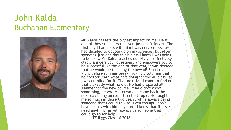#### John Kalda Buchanan Elementary



Mr. Kalda has left the biggest impact on me. He is one of those teachers that you just don't forget. The first day I had class with him I was nervous because I had decided to double up on my sciences. But after spending just one day in his class I knew I was going to be okay. Mr. Kalda teaches quickly yet effectively, gladly answers your questions, and empowers you to be successful. At the end of that year, it was decided that he would be teaching the new AP Bio class. Right before summer break I jokingly told him that he "better learn what he's doing for the AP class" as I was enrolled for it. That next fall I came to find out that's exactly what he did. He had prepared all summer for the new course. If he didn't know something, he wrote it down and came back the next day being an expert on that topic. He taught me so much in those two years, while always being someone that I could talk to. Even though I don't have a class with him anymore, I know that if I ever need anything he will always be someone that I could go to for help.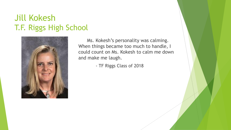# Jill Kokesh T.F. Riggs High School



Ms. Kokesh's personality was calming. When things became too much to handle, I could count on Ms. Kokesh to calm me down and make me laugh.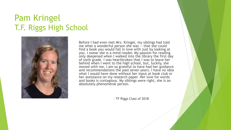# Pam Kringel T.F. Riggs High School



Before I had even met Mrs. Kringel, my siblings had told me what a wonderful person she was -- that she could find a book you would fall in love with just by looking at you. I swear she is a mind reader. My passion for reading only deepened when I walked into the library the first day of sixth grade. I was heartbroken that I was to leave her behind when I went to the high school, but, luckily, she moved with me. I am so grateful to have had her guidance and recommendations the past seven years. I have no idea what I would have done without her input at book club or her assistance on my research paper. Her love for words and books is contagious. My siblings were right, she is an absolutely phenomenal person.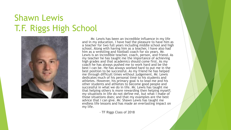# Shawn Lewis T.F. Riggs High School



Mr. Lewis has been an incredible influence in my life and in my education. I have had the pleasure to have him as a teacher for two full years including middle school and high school. Along with having him as a teacher, I have also had him as a wrestling and football coach for six years. Mr. Lewis is an incredible teacher, coach, person, and friend. As my teacher he has taught me the importance of achieving high grades and that academics should come first. As my coach he has always pushed me to work hard and be the best I can be. He has always worked hard to put me in the best position to be successful. As my friend he has helped me through difficult times without judgement. Mr. Lewis dedicates much of his personal time to his students and athletes. However, his primary goal is to lead me and his other students and athletes to become good people and successful in what we do in life. Mr. Lewis has taught me that helping others is more rewarding then helping myself; my situations in life do not define me, but what I make of those situations does; and that my examples are the best advice that I can give. Mr. Shawn Lewis has taught me endless life lessons and has made an everlasting impact on my life.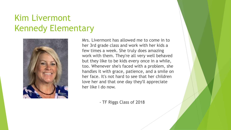# Kim Livermont Kennedy Elementary



Mrs. Livermont has allowed me to come in to her 3rd grade class and work with her kids a few times a week. She truly does amazing work with them. They're all very well behaved but they like to be kids every once in a while, too. Whenever she's faced with a problem, she handles it with grace, patience, and a smile on her face. It's not hard to see that her children love her and that one day they'll appreciate her like I do now.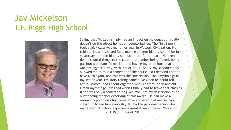# Jay Mickelson T.F. Riggs High School



Saying that Mr. Mick simply had an impact on my education really doesn't do the effect he has on people justice. The first time I took a Mick class was my junior year in Western Civilization. He told stories and spewed facts making ancient history seem like just yesterday. It made history so much more fun to learn. He even demonstrated things to the class. I remember being flayed, being put into a phalanx formation, and having my brain looked at the Ancient Egyptian way, with lots or drills. Sadly, my schedule only allowed me to take a semester of the course, so I decided I had to have Mick again, and this was the sole reason I took mythology in my senior year. His story telling came alive when he could tell actual stories, and I spent eighteen weeks enthralled in ancient Greek mythology. I was sad when I finally had to leave that class as it too was only a semester long. Mr. Mick fits my description of an outstanding teacher deserving of this award. He can make a seemingly pointless class come alive and even had me taking a class just to see him every day. If I had to pick one person who made my high school experience great it would be Mr. Mickelson. - TF Riggs Class of 2018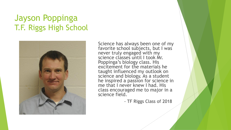# Jayson Poppinga T.F. Riggs High School



Science has always been one of my favorite school subjects, but I was never truly engaged with my science classes until I took Mr. Poppinga's biology class. His excitement for the materials he taught influenced my outlook on science and biology. As a student he inspired a passion for science in me that I never knew I had. His class encouraged me to major in a science field.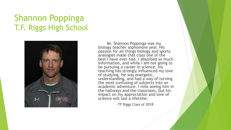# Shannon Poppinga T.F. Riggs High School



Mr. Shannon Poppinga was my biology teacher sophomore year. His passion for all things biology and sports analogies made that class one of the best I have ever had. I absorbed so much information, and while I am not going to be pursuing a career in science, his teaching has strongly influenced my love of studying. He was energetic, understanding, and had a way of turning the most confusing of subjects into an academic adventure. I miss seeing him in the hallways and the classroom, but his impact on my appreciation and love of science will last a lifetime.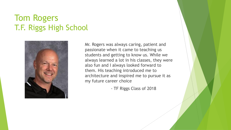# Tom Rogers T.F. Riggs High School



Mr. Rogers was always caring, patient and passionate when it came to teaching us students and getting to know us. While we always learned a lot in his classes, they were also fun and I always looked forward to them. His teaching introduced me to architecture and inspired me to pursue it as my future career choice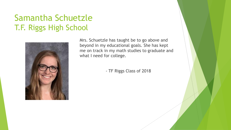# Samantha Schuetzle T.F. Riggs High School



Mrs. Schuetzle has taught be to go above and beyond in my educational goals. She has kept me on track in my math studies to graduate and what I need for college.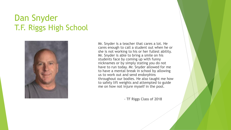# Dan Snyder T.F. Riggs High School



Mr. Snyder is a teacher that cares a lot. He cares enough to call a student out when he or she is not working to his or her fullest ability. Mr. Snyder is able to bring a smile on his students face by coming up with funny nicknames or by simply stating you do not have to run today. Mr. Snyder allowed for me to have a mental break in school by allowing us to work out and send endorphins throughout our bodies. He also taught me how to safely lift weights and attempted to guide me on how not injure myself in the pool.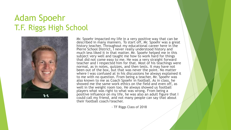# Adam Spoehr T.F. Riggs High School



Mr. Spoehr impacted my life in a very positive way that can be described in many manners. To start off, Mr. Spoehr was a great history teacher. Throughout my educational career here in the Pierre School District, I never really understood history and much less liked it in that matter. Mr. Spoehr helped me in this subject very well and taught me how to work hard for things that did not come easy to me. He was a very straight forward teacher and I respected him for that. Most of his teachings were normal, as in notes, quizzes, and then tests. It may have not been out of the box, but that was never the point. No matter where I was confused at in his discussions he always explained it to me with no question. From being a teacher, Mr. Spoehr was also known to me as Coach Spoehr in football. As in class, he showed me the same work ethics on the field and even off, as well in the weight room too. He always showed us football players what was right to what was wrong. From being a positive influence on my life, he was also an adult figure that I could call my friend, and not many people can say that about their football coach/teacher.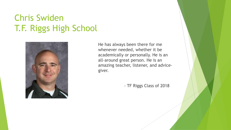# Chris Swiden T.F. Riggs High School



He has always been there for me whenever needed, whether it be academically or personally. He is an all-around great person. He is an amazing teacher, listener, and advicegiver.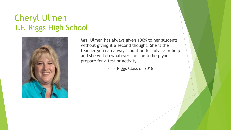# Cheryl Ulmen T.F. Riggs High School



Mrs. Ulmen has always given 100% to her students without giving it a second thought. She is the teacher you can always count on for advice or help and she will do whatever she can to help you prepare for a test or activity.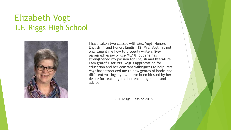# Elizabeth Vogt T.F. Riggs High School



I have taken two classes with Mrs. Vogt, Honors English 11 and Honors English 12. Mrs. Vogt has not only taught me how to properly write a fiveparagraph essay or use MLA 8, but she has strengthened my passion for English and literature. I am grateful for Mrs. Vogt's appreciation for education and her constant willingness to help. Mrs. Vogt has introduced me to new genres of books and different writing styles. I have been blessed by her desire for teaching and her encouragement and advice!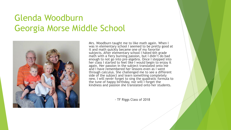# Glenda Woodburn Georgia Morse Middle School



Mrs. Woodburn taught me to like math again. When I was in elementary school I seemed to be pretty good at it and math quickly became one of my favorite subjects. After elementary school I hated 6th grade math with a fiery burning passion, but I didn't do bad enough to not go into pre-algebra. Once I stepped into her class I started to feel like I would begin to enjoy it again. Her passion in the subject translated onto me and I have remembered her lessons even as I went through calculus. She challenged me to see a different side of the subject and learn something completely new. I will never forget to sing the quadratic formula to the tune of happy birthday, nor will I forget the kindness and passion she translated onto her students.